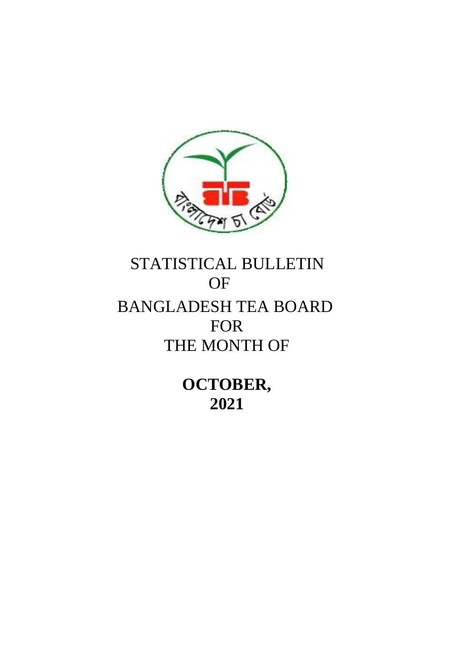

# STATISTICAL BULLETIN OF BANGLADESH TEA BOARD FOR THE MONTH OF

**OCTOBER, 2021**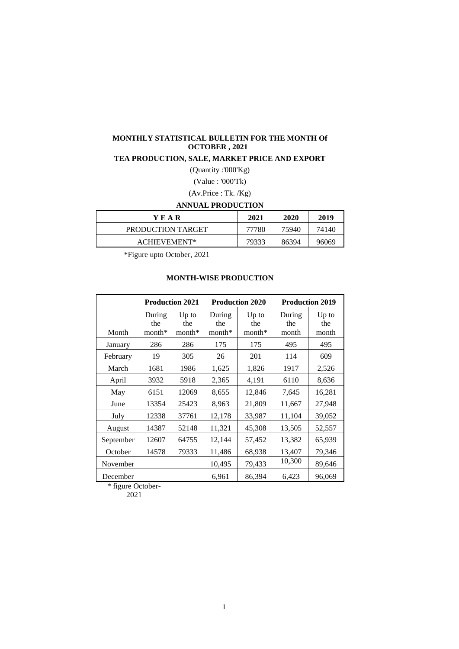#### **MONTHLY STATISTICAL BULLETIN FOR THE MONTH Of OCTOBER , 2021**

#### **TEA PRODUCTION, SALE, MARKET PRICE AND EXPORT**

(Quantity :'000'Kg)

(Value : '000'Tk)

# (Av.Price : Tk. /Kg)

# **ANNUAL PRODUCTION**

| YEAR              | 2021  | 2020  | 2019  |
|-------------------|-------|-------|-------|
| PRODUCTION TARGET | 77780 | 75940 | 74140 |
| ACHIEVEMENT*      | 79333 | 86394 | 96069 |

\*Figure upto October, 2021

## **MONTH-WISE PRODUCTION**

|           |                           | <b>Production 2021</b>     |                           | <b>Production 2020</b>     |                        | <b>Production 2019</b>  |
|-----------|---------------------------|----------------------------|---------------------------|----------------------------|------------------------|-------------------------|
| Month     | During<br>the<br>$month*$ | $Up$ to<br>the<br>$month*$ | During<br>the<br>$month*$ | $Up$ to<br>the<br>$month*$ | During<br>the<br>month | $Up$ to<br>the<br>month |
| January   | 286                       | 286                        | 175                       | 175                        | 495                    | 495                     |
| February  | 19                        | 305                        | 26                        | 201                        | 114                    | 609                     |
| March     | 1681                      | 1986                       | 1,625                     | 1,826                      | 1917                   | 2,526                   |
| April     | 3932                      | 5918                       | 2,365                     | 4,191                      | 6110                   | 8,636                   |
| May       | 6151                      | 12069                      | 8,655                     | 12,846                     | 7,645                  | 16,281                  |
| June      | 13354                     | 25423                      | 8,963                     | 21,809                     | 11,667                 | 27,948                  |
| July      | 12338                     | 37761                      | 12,178                    | 33,987                     | 11,104                 | 39,052                  |
| August    | 14387                     | 52148                      | 11,321                    | 45,308                     | 13,505                 | 52,557                  |
| September | 12607                     | 64755                      | 12,144                    | 57,452                     | 13,382                 | 65,939                  |
| October   | 14578                     | 79333                      | 11,486                    | 68,938                     | 13,407                 | 79,346                  |
| November  |                           |                            | 10,495                    | 79,433                     | 10,300                 | 89,646                  |
| December  |                           |                            | 6,961                     | 86,394                     | 6,423                  | 96,069                  |

\* figure October-

2021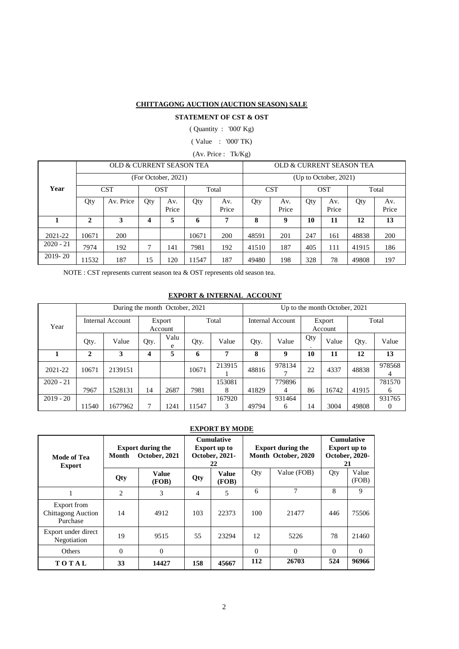#### **CHITTAGONG AUCTION (AUCTION SEASON) SALE**

## **STATEMENT OF CST & OST**

( Quantity : '000' Kg)

( Value : '000' TK)

(Av. Price : Tk/Kg)

|             |              | OLD & CURRENT SEASON TEA |                          |                     |       |              | OLD & CURRENT SEASON TEA |              |     |                     |       |              |
|-------------|--------------|--------------------------|--------------------------|---------------------|-------|--------------|--------------------------|--------------|-----|---------------------|-------|--------------|
|             |              | (For October, 2021)      | $(Up)$ to October, 2021) |                     |       |              |                          |              |     |                     |       |              |
| Year        |              | <b>CST</b>               |                          | <b>OST</b><br>Total |       |              |                          | <b>CST</b>   |     | <b>OST</b><br>Total |       |              |
|             | Qty          | Av. Price                | Qty                      | Av.<br>Price        | Qty   | Av.<br>Price | Qty                      | Av.<br>Price | Qty | Av.<br>Price        | Qty   | Av.<br>Price |
|             | $\mathbf{2}$ | 3                        | 4                        | 5                   | 6     | 7            | 8                        | 9            | 10  | 11                  | 12    | 13           |
| 2021-22     | 10671        | 200                      |                          |                     | 10671 | 200          | 48591                    | 201          | 247 | 161                 | 48838 | <b>200</b>   |
| $2020 - 21$ | 7974         | 192                      | 7                        | 141                 | 7981  | 192          | 41510                    | 187          | 405 | 111                 | 41915 | 186          |
| $2019 - 20$ | 11532        | 187                      | 15                       | 120                 | 11547 | 187          | 49480                    | 198          | 328 | 78                  | 49808 | 197          |

NOTE : CST represents current season tea & OST represents old season tea.

#### **EXPORT & INTERNAL ACCOUNT**

|             |       | During the month October, 2021 |      |                   |       |        | Up to the month October, 2021 |                         |          |                   |       |             |  |
|-------------|-------|--------------------------------|------|-------------------|-------|--------|-------------------------------|-------------------------|----------|-------------------|-------|-------------|--|
| Year        |       | Internal Account               |      | Export<br>Account |       | Total  |                               | <b>Internal Account</b> |          | Export<br>Account |       | Total       |  |
|             | Qty.  | Value                          | Qty. | Valu<br>e         | Qty.  | Value  | Qty.                          | Value                   | Qty<br>٠ | Value             | Qty.  | Value       |  |
|             | 2     | 3                              | 4    | 5                 | 6     | 7      | 8                             | 9                       | 10       | 11                | 12    | 13          |  |
| 2021-22     | 10671 | 2139151                        |      |                   | 10671 | 213915 | 48816                         | 978134                  | 22       | 4337              | 48838 | 978568<br>4 |  |
| $2020 - 21$ |       |                                |      |                   |       | 153081 |                               | 779896                  |          |                   |       | 781570      |  |
|             | 7967  | 1528131                        | 14   | 2687              | 7981  | 8      | 41829                         | 4                       | 86       | 16742             | 41915 | 6           |  |
| $2019 - 20$ |       |                                |      |                   |       | 167920 |                               | 931464                  |          |                   |       | 931765      |  |
|             | 11540 | 1677962                        | 7    | 1241              | 11547 | 3      | 49794                         | 6                       | 14       | 3004              | 49808 | 0           |  |

## **EXPORT BY MODE**

| Mode of Tea<br><b>Export</b>                         | Month          | <b>Export during the</b><br>October, 2021 |     | <b>Cumulative</b><br><b>Export up to</b><br>October, 2021-<br>22 |          | <b>Export during the</b><br>Month October, 2020 | <b>Cumulative</b><br><b>Export up to</b><br>October, 2020-<br>21 |                |
|------------------------------------------------------|----------------|-------------------------------------------|-----|------------------------------------------------------------------|----------|-------------------------------------------------|------------------------------------------------------------------|----------------|
|                                                      | Qty            | Value<br>(FOB)                            | Qty | <b>Value</b><br>(FOB)                                            | Qty      | Value (FOB)                                     | Qty                                                              | Value<br>(FOB) |
|                                                      | $\overline{c}$ | 3                                         | 4   | 5                                                                | 6        | 7                                               | 8                                                                | 9              |
| Export from<br><b>Chittagong Auction</b><br>Purchase | 14             | 4912                                      | 103 | 22373                                                            | 100      | 21477                                           | 446                                                              | 75506          |
| Export under direct<br>Negotiation                   | 19             | 9515                                      | 55  | 23294                                                            | 12       | 5226                                            | 78                                                               | 21460          |
| Others                                               | $\theta$       | $\theta$                                  |     |                                                                  | $\Omega$ | $\Omega$                                        | $\Omega$                                                         | $\Omega$       |
| TOTAL                                                | 33             | 14427                                     | 158 | 45667                                                            | 112      | 26703                                           | 524                                                              | 96966          |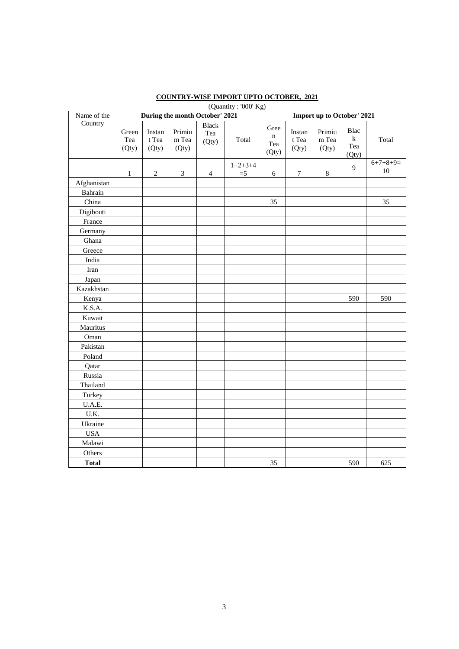|              |                                |                                                     |                          |                              | (Quantity: '000' Kg) |                                     |                                                     |                                    |                                 |                  |  |
|--------------|--------------------------------|-----------------------------------------------------|--------------------------|------------------------------|----------------------|-------------------------------------|-----------------------------------------------------|------------------------------------|---------------------------------|------------------|--|
| Name of the  | During the month October' 2021 |                                                     |                          |                              |                      |                                     | <b>Import up to October' 2021</b>                   |                                    |                                 |                  |  |
| Country      | Green<br>Tea<br>(Qty)          | Instan<br>$\ensuremath{\mathbf{t}}$<br>Tea<br>(Qty) | Primiu<br>m Tea<br>(Qty) | <b>Black</b><br>Tea<br>(Qty) | Total                | Gree<br>$\mathbf n$<br>Tea<br>(Qty) | Instan<br>$\ensuremath{\mathbf{t}}$<br>Tea<br>(Qty) | Primiu<br>$\mathbf m$ Tea<br>(Qty) | Blac<br>$\bf k$<br>Tea<br>(Qty) | Total            |  |
|              | $\mathbf{1}$                   | $\sqrt{2}$                                          | $\mathfrak{Z}$           | $\overline{4}$               | $1+2+3+4$<br>$=$ 5   | $\sqrt{6}$                          | $\boldsymbol{7}$                                    | $\,8\,$                            | 9                               | $6+7+8+9=$<br>10 |  |
| Afghanistan  |                                |                                                     |                          |                              |                      |                                     |                                                     |                                    |                                 |                  |  |
| Bahrain      |                                |                                                     |                          |                              |                      |                                     |                                                     |                                    |                                 |                  |  |
| China        |                                |                                                     |                          |                              |                      | 35                                  |                                                     |                                    |                                 | 35               |  |
| Digibouti    |                                |                                                     |                          |                              |                      |                                     |                                                     |                                    |                                 |                  |  |
| France       |                                |                                                     |                          |                              |                      |                                     |                                                     |                                    |                                 |                  |  |
| Germany      |                                |                                                     |                          |                              |                      |                                     |                                                     |                                    |                                 |                  |  |
| Ghana        |                                |                                                     |                          |                              |                      |                                     |                                                     |                                    |                                 |                  |  |
| Greece       |                                |                                                     |                          |                              |                      |                                     |                                                     |                                    |                                 |                  |  |
| India        |                                |                                                     |                          |                              |                      |                                     |                                                     |                                    |                                 |                  |  |
| Iran         |                                |                                                     |                          |                              |                      |                                     |                                                     |                                    |                                 |                  |  |
| Japan        |                                |                                                     |                          |                              |                      |                                     |                                                     |                                    |                                 |                  |  |
| Kazakhstan   |                                |                                                     |                          |                              |                      |                                     |                                                     |                                    |                                 |                  |  |
| Kenya        |                                |                                                     |                          |                              |                      |                                     |                                                     |                                    | 590                             | 590              |  |
| K.S.A.       |                                |                                                     |                          |                              |                      |                                     |                                                     |                                    |                                 |                  |  |
| Kuwait       |                                |                                                     |                          |                              |                      |                                     |                                                     |                                    |                                 |                  |  |
| Mauritus     |                                |                                                     |                          |                              |                      |                                     |                                                     |                                    |                                 |                  |  |
| Oman         |                                |                                                     |                          |                              |                      |                                     |                                                     |                                    |                                 |                  |  |
| Pakistan     |                                |                                                     |                          |                              |                      |                                     |                                                     |                                    |                                 |                  |  |
| Poland       |                                |                                                     |                          |                              |                      |                                     |                                                     |                                    |                                 |                  |  |
| Qatar        |                                |                                                     |                          |                              |                      |                                     |                                                     |                                    |                                 |                  |  |
| Russia       |                                |                                                     |                          |                              |                      |                                     |                                                     |                                    |                                 |                  |  |
| Thailand     |                                |                                                     |                          |                              |                      |                                     |                                                     |                                    |                                 |                  |  |
| Turkey       |                                |                                                     |                          |                              |                      |                                     |                                                     |                                    |                                 |                  |  |
| U.A.E.       |                                |                                                     |                          |                              |                      |                                     |                                                     |                                    |                                 |                  |  |
| U.K.         |                                |                                                     |                          |                              |                      |                                     |                                                     |                                    |                                 |                  |  |
| Ukraine      |                                |                                                     |                          |                              |                      |                                     |                                                     |                                    |                                 |                  |  |
| <b>USA</b>   |                                |                                                     |                          |                              |                      |                                     |                                                     |                                    |                                 |                  |  |
| Malawi       |                                |                                                     |                          |                              |                      |                                     |                                                     |                                    |                                 |                  |  |
| Others       |                                |                                                     |                          |                              |                      |                                     |                                                     |                                    |                                 |                  |  |
| <b>Total</b> |                                |                                                     |                          |                              |                      | 35                                  |                                                     |                                    | 590                             | 625              |  |

## **COUNTRY-WISE IMPORT UPTO OCTOBER, 2021**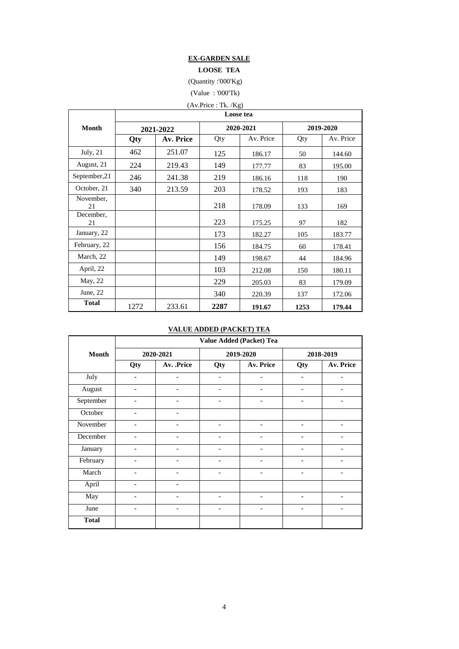## **EX-GARDEN SALE**

**LOOSE TEA**

(Quantity :'000'Kg)

(Value : '000'Tk)

|                 |      |           | (Av.Price : Tk. / Kg) |           |      |           |  |  |  |  |  |
|-----------------|------|-----------|-----------------------|-----------|------|-----------|--|--|--|--|--|
|                 |      | Loose tea |                       |           |      |           |  |  |  |  |  |
| <b>Month</b>    |      | 2021-2022 |                       | 2020-2021 |      | 2019-2020 |  |  |  |  |  |
|                 | Qty  | Av. Price | Qty                   | Av. Price | Qty  | Av. Price |  |  |  |  |  |
| July, 21        | 462  | 251.07    | 125                   | 186.17    | 50   | 144.60    |  |  |  |  |  |
| August, 21      | 224  | 219.43    | 149                   | 177.77    | 83   | 195.00    |  |  |  |  |  |
| September, 21   | 246  | 241.38    | 219                   | 186.16    | 118  | 190       |  |  |  |  |  |
| October, 21     | 340  | 213.59    | 203                   | 178.52    | 193  | 183       |  |  |  |  |  |
| November,<br>21 |      |           | 218                   | 178.09    | 133  | 169       |  |  |  |  |  |
| December,<br>21 |      |           | 223                   | 175.25    | 97   | 182       |  |  |  |  |  |
| January, 22     |      |           | 173                   | 182.27    | 105  | 183.77    |  |  |  |  |  |
| February, 22    |      |           | 156                   | 184.75    | 60   | 178.41    |  |  |  |  |  |
| March, 22       |      |           | 149                   | 198.67    | 44   | 184.96    |  |  |  |  |  |
| April, 22       |      |           | 103                   | 212.08    | 150  | 180.11    |  |  |  |  |  |
| May, 22         |      |           | 229                   | 205.03    | 83   | 179.09    |  |  |  |  |  |
| June, $22$      |      |           | 340                   | 220.39    |      | 172.06    |  |  |  |  |  |
| <b>Total</b>    | 1272 | 233.61    | 2287                  | 191.67    | 1253 | 179.44    |  |  |  |  |  |

#### **VALUE ADDED (PACKET) TEA**

|              |                          |                          | Value Added (Packet) Tea |                          |                              |                          |
|--------------|--------------------------|--------------------------|--------------------------|--------------------------|------------------------------|--------------------------|
| Month        |                          | 2020-2021                |                          | 2019-2020                |                              | 2018-2019                |
|              | Qty                      | Av. .Price               | Qty                      | Av. Price                | Qty                          | Av. Price                |
| July         | $\overline{\phantom{0}}$ | $\overline{\phantom{a}}$ | $\overline{\phantom{a}}$ | $\overline{\phantom{a}}$ | $\overline{\phantom{a}}$     | $\overline{\phantom{a}}$ |
| August       |                          |                          | ۳                        |                          |                              |                          |
| September    | $\overline{\phantom{a}}$ |                          | $\qquad \qquad -$        | $\overline{a}$           | $\overline{\phantom{0}}$     |                          |
| October      | $\overline{\phantom{a}}$ | $\overline{\phantom{a}}$ |                          |                          |                              |                          |
| November     | $\overline{a}$           |                          | $\overline{a}$           | ۰                        | ۰                            |                          |
| December     | $\overline{\phantom{a}}$ |                          | $\qquad \qquad -$        |                          | $\qquad \qquad \blacksquare$ |                          |
| January      | $\overline{\phantom{a}}$ | $\overline{\phantom{a}}$ | $\qquad \qquad -$        | $\overline{\phantom{0}}$ |                              |                          |
| February     | $\overline{\phantom{0}}$ |                          | $\qquad \qquad -$        | ۰                        | ۰                            |                          |
| March        | $\overline{\phantom{a}}$ |                          | $\qquad \qquad -$        |                          | $\overline{\phantom{a}}$     |                          |
| April        | $\overline{\phantom{a}}$ | $\overline{\phantom{a}}$ |                          |                          |                              |                          |
| May          | $\overline{\phantom{a}}$ | $\overline{\phantom{a}}$ | $\overline{\phantom{a}}$ | $\overline{\phantom{a}}$ | $\overline{\phantom{a}}$     | $\overline{\phantom{a}}$ |
| June         | $\overline{\phantom{a}}$ |                          |                          |                          |                              |                          |
| <b>Total</b> |                          |                          |                          |                          |                              |                          |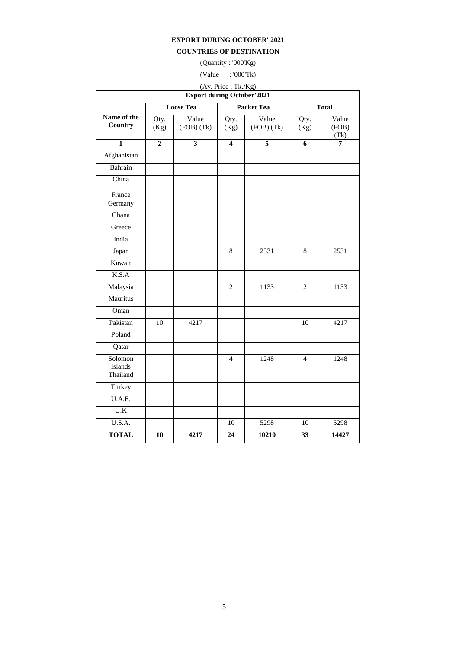## **EXPORT DURING OCTOBER' 2021**

## **COUNTRIES OF DESTINATION**

(Quantity : '000'Kg)

(Value : '000'Tk)

| vaide               | .0001 <sub>N</sub> |  |
|---------------------|--------------------|--|
| (Av. Price: Tk./Kg) |                    |  |

| $(1 - 1)$<br><b>Export during October'2021</b> |                 |                         |                         |                         |                |                        |  |  |  |  |
|------------------------------------------------|-----------------|-------------------------|-------------------------|-------------------------|----------------|------------------------|--|--|--|--|
|                                                |                 | <b>Loose Tea</b>        |                         | <b>Packet Tea</b>       |                | <b>Total</b>           |  |  |  |  |
| Name of the<br>Country                         | Qty.<br>(Kg)    | Value<br>$(FOB)$ $(Tk)$ | Qty.<br>(Kg)            | Value<br>$(FOB)$ $(Tk)$ | Qty.<br>(Kg)   | Value<br>(FOB)<br>(Tk) |  |  |  |  |
| $\mathbf{1}$                                   | $\overline{2}$  | $\overline{\mathbf{3}}$ | $\overline{\mathbf{4}}$ | $\overline{5}$          | $\overline{6}$ | $\overline{7}$         |  |  |  |  |
| Afghanistan                                    |                 |                         |                         |                         |                |                        |  |  |  |  |
| Bahrain                                        |                 |                         |                         |                         |                |                        |  |  |  |  |
| China                                          |                 |                         |                         |                         |                |                        |  |  |  |  |
| France<br>Germany                              |                 |                         |                         |                         |                |                        |  |  |  |  |
| Ghana                                          |                 |                         |                         |                         |                |                        |  |  |  |  |
| Greece                                         |                 |                         |                         |                         |                |                        |  |  |  |  |
| India                                          |                 |                         |                         |                         |                |                        |  |  |  |  |
| Japan                                          |                 |                         | $\overline{8}$          | 2531                    | $\overline{8}$ | 2531                   |  |  |  |  |
| Kuwait                                         |                 |                         |                         |                         |                |                        |  |  |  |  |
| K.S.A                                          |                 |                         |                         |                         |                |                        |  |  |  |  |
| Malaysia                                       |                 |                         | $\overline{2}$          | 1133                    | $\overline{2}$ | 1133                   |  |  |  |  |
| Mauritus                                       |                 |                         |                         |                         |                |                        |  |  |  |  |
| Oman                                           |                 |                         |                         |                         |                |                        |  |  |  |  |
| Pakistan                                       | $\overline{10}$ | 4217                    |                         |                         | 10             | 4217                   |  |  |  |  |
| Poland                                         |                 |                         |                         |                         |                |                        |  |  |  |  |
| Qatar                                          |                 |                         |                         |                         |                |                        |  |  |  |  |
| Solomon<br>Islands                             |                 |                         | $\overline{4}$          | 1248                    | $\overline{4}$ | 1248                   |  |  |  |  |
| Thailand                                       |                 |                         |                         |                         |                |                        |  |  |  |  |
| Turkey                                         |                 |                         |                         |                         |                |                        |  |  |  |  |
| U.A.E.                                         |                 |                         |                         |                         |                |                        |  |  |  |  |
| $\overline{U.K}$                               |                 |                         |                         |                         |                |                        |  |  |  |  |
| U.S.A.                                         |                 |                         | 10                      | 5298                    | 10             | 5298                   |  |  |  |  |
| <b>TOTAL</b>                                   | 10              | 4217                    | 24                      | 10210                   | 33             | 14427                  |  |  |  |  |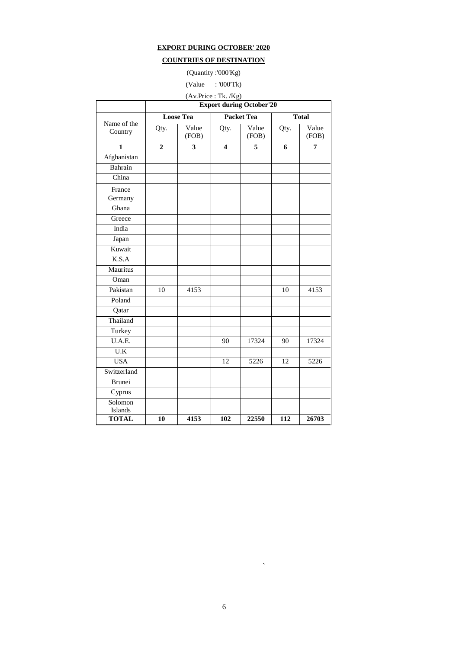## **EXPORT DURING OCTOBER' 2020**

# **COUNTRIES OF DESTINATION**

(Quantity :'000'Kg)

## (Value : '000'Tk)

(Av.Price : Tk. /Kg)

|                        | <b>Export during October'20</b> |                  |                         |                   |      |                |  |  |  |
|------------------------|---------------------------------|------------------|-------------------------|-------------------|------|----------------|--|--|--|
|                        |                                 | <b>Loose Tea</b> |                         | <b>Packet Tea</b> |      | <b>Total</b>   |  |  |  |
| Name of the<br>Country | Qty.                            | Value<br>(FOB)   | Qty.                    | Value<br>(FOB)    | Qty. | Value<br>(FOB) |  |  |  |
| $\mathbf{1}$           | $\overline{2}$                  | 3                | $\overline{\mathbf{4}}$ | 5                 | 6    | 7              |  |  |  |
| Afghanistan            |                                 |                  |                         |                   |      |                |  |  |  |
| Bahrain                |                                 |                  |                         |                   |      |                |  |  |  |
| China                  |                                 |                  |                         |                   |      |                |  |  |  |
| France                 |                                 |                  |                         |                   |      |                |  |  |  |
| Germany                |                                 |                  |                         |                   |      |                |  |  |  |
| Ghana                  |                                 |                  |                         |                   |      |                |  |  |  |
| Greece                 |                                 |                  |                         |                   |      |                |  |  |  |
| India                  |                                 |                  |                         |                   |      |                |  |  |  |
| Japan                  |                                 |                  |                         |                   |      |                |  |  |  |
| Kuwait                 |                                 |                  |                         |                   |      |                |  |  |  |
| K.S.A                  |                                 |                  |                         |                   |      |                |  |  |  |
| Mauritus               |                                 |                  |                         |                   |      |                |  |  |  |
| Oman                   |                                 |                  |                         |                   |      |                |  |  |  |
| Pakistan               | 10                              | 4153             |                         |                   | 10   | 4153           |  |  |  |
| Poland                 |                                 |                  |                         |                   |      |                |  |  |  |
| Qatar                  |                                 |                  |                         |                   |      |                |  |  |  |
| Thailand               |                                 |                  |                         |                   |      |                |  |  |  |
| Turkey                 |                                 |                  |                         |                   |      |                |  |  |  |
| U.A.E.                 |                                 |                  | 90                      | 17324             | 90   | 17324          |  |  |  |
| U.K                    |                                 |                  |                         |                   |      |                |  |  |  |
| <b>USA</b>             |                                 |                  | 12                      | 5226              | 12   | 5226           |  |  |  |
| Switzerland            |                                 |                  |                         |                   |      |                |  |  |  |
| <b>Brunei</b>          |                                 |                  |                         |                   |      |                |  |  |  |
| Cyprus                 |                                 |                  |                         |                   |      |                |  |  |  |
| Solomon                |                                 |                  |                         |                   |      |                |  |  |  |
| Islands                |                                 |                  |                         |                   |      |                |  |  |  |
| <b>TOTAL</b>           | 10                              | 4153             | 102                     | 22550             | 112  | 26703          |  |  |  |

 $\hat{\mathbf{v}}$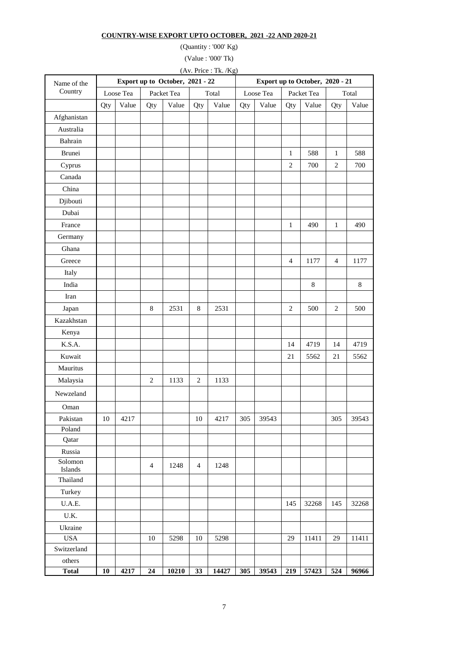#### **COUNTRY-WISE EXPORT UPTO OCTOBER, 2021 -22 AND 2020-21**

(Quantity : '000' Kg)

(Value : '000' Tk)

(Av. Price : Tk. /Kg)

| Name of the        |     |           | Export up to October, 2021 - 22 |            |                |       |     |           | Export up to October, 2020 - 21 |            |                |       |
|--------------------|-----|-----------|---------------------------------|------------|----------------|-------|-----|-----------|---------------------------------|------------|----------------|-------|
| Country            |     | Loose Tea |                                 | Packet Tea |                | Total |     | Loose Tea |                                 | Packet Tea |                | Total |
|                    | Qty | Value     | Qty                             | Value      | Qty            | Value | Qty | Value     | Qty                             | Value      | Qty            | Value |
| Afghanistan        |     |           |                                 |            |                |       |     |           |                                 |            |                |       |
| Australia          |     |           |                                 |            |                |       |     |           |                                 |            |                |       |
| Bahrain            |     |           |                                 |            |                |       |     |           |                                 |            |                |       |
| Brunei             |     |           |                                 |            |                |       |     |           | $\mathbf{1}$                    | 588        | $\mathbf{1}$   | 588   |
| Cyprus             |     |           |                                 |            |                |       |     |           | $\sqrt{2}$                      | 700        | $\overline{c}$ | 700   |
| Canada             |     |           |                                 |            |                |       |     |           |                                 |            |                |       |
| China              |     |           |                                 |            |                |       |     |           |                                 |            |                |       |
| Djibouti           |     |           |                                 |            |                |       |     |           |                                 |            |                |       |
| Dubai              |     |           |                                 |            |                |       |     |           |                                 |            |                |       |
| France             |     |           |                                 |            |                |       |     |           | $\mathbf{1}$                    | 490        | $\mathbf{1}$   | 490   |
| Germany            |     |           |                                 |            |                |       |     |           |                                 |            |                |       |
| Ghana              |     |           |                                 |            |                |       |     |           |                                 |            |                |       |
| Greece             |     |           |                                 |            |                |       |     |           | $\overline{4}$                  | 1177       | $\overline{4}$ | 1177  |
| Italy              |     |           |                                 |            |                |       |     |           |                                 |            |                |       |
| India              |     |           |                                 |            |                |       |     |           |                                 | $\,8\,$    |                | 8     |
| Iran               |     |           |                                 |            |                |       |     |           |                                 |            |                |       |
| Japan              |     |           | $\,8\,$                         | 2531       | 8              | 2531  |     |           | $\overline{c}$                  | 500        | $\sqrt{2}$     | 500   |
| Kazakhstan         |     |           |                                 |            |                |       |     |           |                                 |            |                |       |
| Kenya              |     |           |                                 |            |                |       |     |           |                                 |            |                |       |
| K.S.A.             |     |           |                                 |            |                |       |     |           | 14                              | 4719       | 14             | 4719  |
| Kuwait             |     |           |                                 |            |                |       |     |           | 21                              | 5562       | 21             | 5562  |
| Mauritus           |     |           |                                 |            |                |       |     |           |                                 |            |                |       |
| Malaysia           |     |           | $\mathbf{2}$                    | 1133       | $\mathfrak{2}$ | 1133  |     |           |                                 |            |                |       |
| Newzeland          |     |           |                                 |            |                |       |     |           |                                 |            |                |       |
| Oman               |     |           |                                 |            |                |       |     |           |                                 |            |                |       |
| Pakistan           | 10  | 4217      |                                 |            | 10             | 4217  | 305 | 39543     |                                 |            | 305            | 39543 |
| Poland             |     |           |                                 |            |                |       |     |           |                                 |            |                |       |
| Qatar              |     |           |                                 |            |                |       |     |           |                                 |            |                |       |
| Russia             |     |           |                                 |            |                |       |     |           |                                 |            |                |       |
| Solomon<br>Islands |     |           | $\overline{4}$                  | 1248       | $\overline{4}$ | 1248  |     |           |                                 |            |                |       |
| Thailand           |     |           |                                 |            |                |       |     |           |                                 |            |                |       |
| Turkey             |     |           |                                 |            |                |       |     |           |                                 |            |                |       |
| U.A.E.             |     |           |                                 |            |                |       |     |           | 145                             | 32268      | 145            | 32268 |
| U.K.               |     |           |                                 |            |                |       |     |           |                                 |            |                |       |
| Ukraine            |     |           |                                 |            |                |       |     |           |                                 |            |                |       |
| <b>USA</b>         |     |           | 10                              | 5298       | 10             | 5298  |     |           | 29                              | 11411      | 29             | 11411 |
| Switzerland        |     |           |                                 |            |                |       |     |           |                                 |            |                |       |
| others             |     |           |                                 |            |                |       |     |           |                                 |            |                |       |
| <b>Total</b>       | 10  | 4217      | 24                              | 10210      | 33             | 14427 | 305 | 39543     | 219                             | 57423      | 524            | 96966 |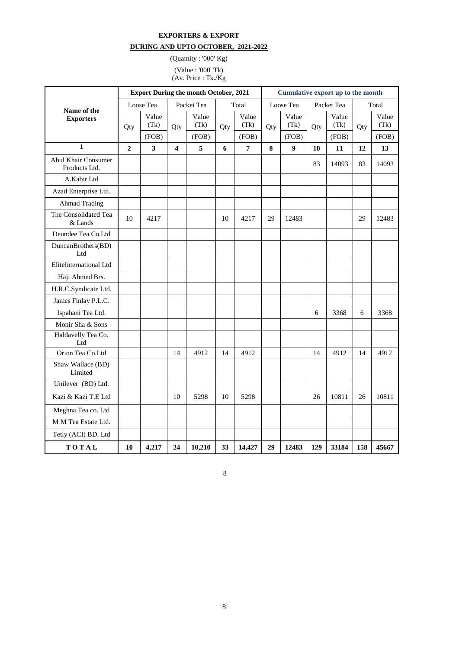#### **EXPORTERS & EXPORT**

## **DURING AND UPTO OCTOBER, 2021-2022**

(Quantity : '000' Kg) (Value : '000' Tk)

(Av. Price : Tk./Kg

|                                      |                |                        |                         | <b>Export During the month October, 2021</b> |       | Cumulative export up to the month |           |                        |            |                        |       |                        |
|--------------------------------------|----------------|------------------------|-------------------------|----------------------------------------------|-------|-----------------------------------|-----------|------------------------|------------|------------------------|-------|------------------------|
| Name of the                          | Loose Tea      |                        | Packet Tea              |                                              | Total |                                   | Loose Tea |                        | Packet Tea |                        | Total |                        |
| <b>Exporters</b>                     | Qty            | Value<br>(Tk)<br>(FOB) | Qty                     | Value<br>(Tk)<br>(FOB)                       | Qty   | Value<br>(Tk)<br>(FOB)            | Qty       | Value<br>(Tk)<br>(FOB) | Qty        | Value<br>(Tk)<br>(FOB) | Qty   | Value<br>(Tk)<br>(FOB) |
| $\mathbf{1}$                         | $\overline{2}$ | 3                      | $\overline{\mathbf{4}}$ | 5                                            | 6     | $\boldsymbol{7}$                  | 8         | $\boldsymbol{9}$       | 10         | 11                     | 12    | 13                     |
| Abul Khair Consumer<br>Products Ltd. |                |                        |                         |                                              |       |                                   |           |                        | 83         | 14093                  | 83    | 14093                  |
| A.Kabir Ltd                          |                |                        |                         |                                              |       |                                   |           |                        |            |                        |       |                        |
| Azad Enterprise Ltd.                 |                |                        |                         |                                              |       |                                   |           |                        |            |                        |       |                        |
| <b>Ahmad Trading</b>                 |                |                        |                         |                                              |       |                                   |           |                        |            |                        |       |                        |
| The Consolidated Tea<br>$\&$ Lands   | 10             | 4217                   |                         |                                              | 10    | 4217                              | 29        | 12483                  |            |                        | 29    | 12483                  |
| Deundee Tea Co.Ltd                   |                |                        |                         |                                              |       |                                   |           |                        |            |                        |       |                        |
| DuncanBrothers(BD)<br>Ltd            |                |                        |                         |                                              |       |                                   |           |                        |            |                        |       |                        |
| EliteInternational Ltd               |                |                        |                         |                                              |       |                                   |           |                        |            |                        |       |                        |
| Haji Ahmed Brs.                      |                |                        |                         |                                              |       |                                   |           |                        |            |                        |       |                        |
| H.R.C.Syndicate Ltd.                 |                |                        |                         |                                              |       |                                   |           |                        |            |                        |       |                        |
| James Finlay P.L.C.                  |                |                        |                         |                                              |       |                                   |           |                        |            |                        |       |                        |
| Ispahani Tea Ltd.                    |                |                        |                         |                                              |       |                                   |           |                        | 6          | 3368                   | 6     | 3368                   |
| Monir Sha & Sons                     |                |                        |                         |                                              |       |                                   |           |                        |            |                        |       |                        |
| Haldavelly Tea Co.<br>Ltd            |                |                        |                         |                                              |       |                                   |           |                        |            |                        |       |                        |
| Orion Tea Co.Ltd                     |                |                        | 14                      | 4912                                         | 14    | 4912                              |           |                        | 14         | 4912                   | 14    | 4912                   |
| Shaw Wallace (BD)<br>Limited         |                |                        |                         |                                              |       |                                   |           |                        |            |                        |       |                        |
| Unilever (BD) Ltd.                   |                |                        |                         |                                              |       |                                   |           |                        |            |                        |       |                        |
| Kazi & Kazi T.E Ltd                  |                |                        | 10                      | 5298                                         | 10    | 5298                              |           |                        | 26         | 10811                  | 26    | 10811                  |
| Meghna Tea co. Ltd                   |                |                        |                         |                                              |       |                                   |           |                        |            |                        |       |                        |
| M M Tea Estate Ltd.                  |                |                        |                         |                                              |       |                                   |           |                        |            |                        |       |                        |
| Tetly (ACI) BD. Ltd                  |                |                        |                         |                                              |       |                                   |           |                        |            |                        |       |                        |
| TOTAL                                | 10             | 4,217                  | 24                      | 10,210                                       | 33    | 14,427                            | 29        | 12483                  | 129        | 33184                  | 158   | 45667                  |

8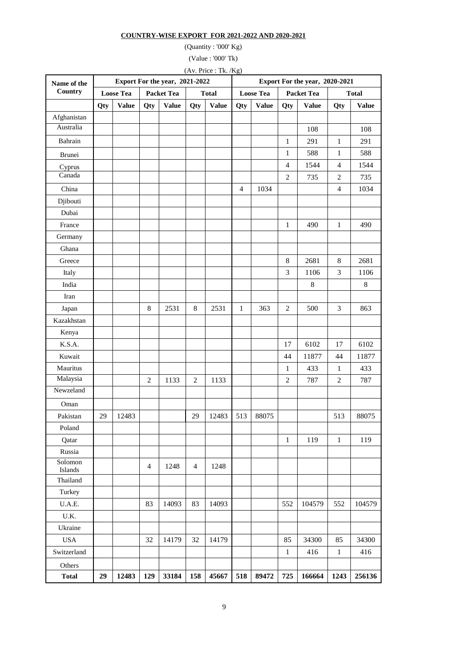#### **COUNTRY-WISE EXPORT FOR 2021-2022 AND 2020-2021**

(Quantity : '000' Kg)

(Value : '000' Tk)

(Av. Price : Tk. /Kg)

| Name of the        |     |                  |                            | Export For the year, 2021-2022 |                |              | Export For the year, 2020-2021 |                  |                |                                   |                |              |  |
|--------------------|-----|------------------|----------------------------|--------------------------------|----------------|--------------|--------------------------------|------------------|----------------|-----------------------------------|----------------|--------------|--|
| Country            |     | <b>Loose Tea</b> | Packet Tea<br><b>Total</b> |                                |                |              |                                | <b>Loose Tea</b> |                | <b>Packet Tea</b><br><b>Total</b> |                |              |  |
|                    | Qty | <b>Value</b>     | Qty                        | <b>Value</b>                   | Qty            | <b>Value</b> | Qty                            | <b>Value</b>     | Qty            | <b>Value</b>                      | Qty            | <b>Value</b> |  |
| Afghanistan        |     |                  |                            |                                |                |              |                                |                  |                |                                   |                |              |  |
| Australia          |     |                  |                            |                                |                |              |                                |                  |                | 108                               |                | 108          |  |
| Bahrain            |     |                  |                            |                                |                |              |                                |                  | 1              | 291                               | $\mathbf{1}$   | 291          |  |
| Brunei             |     |                  |                            |                                |                |              |                                |                  | 1              | 588                               | $\mathbf{1}$   | 588          |  |
| Cyprus             |     |                  |                            |                                |                |              |                                |                  | $\overline{4}$ | 1544                              | $\overline{4}$ | 1544         |  |
| Canada             |     |                  |                            |                                |                |              |                                |                  | $\overline{2}$ | 735                               | $\overline{2}$ | 735          |  |
| China              |     |                  |                            |                                |                |              | $\overline{4}$                 | 1034             |                |                                   | $\overline{4}$ | 1034         |  |
| Djibouti           |     |                  |                            |                                |                |              |                                |                  |                |                                   |                |              |  |
| Dubai              |     |                  |                            |                                |                |              |                                |                  |                |                                   |                |              |  |
| France             |     |                  |                            |                                |                |              |                                |                  | 1              | 490                               | $\mathbf{1}$   | 490          |  |
| Germany            |     |                  |                            |                                |                |              |                                |                  |                |                                   |                |              |  |
| Ghana              |     |                  |                            |                                |                |              |                                |                  |                |                                   |                |              |  |
| Greece             |     |                  |                            |                                |                |              |                                |                  | $\,8\,$        | 2681                              | 8              | 2681         |  |
| Italy              |     |                  |                            |                                |                |              |                                |                  | 3              | 1106                              | $\mathfrak{Z}$ | 1106         |  |
| India              |     |                  |                            |                                |                |              |                                |                  |                | $\,8\,$                           |                | $\,8\,$      |  |
| Iran               |     |                  |                            |                                |                |              |                                |                  |                |                                   |                |              |  |
| Japan              |     |                  | 8                          | 2531                           | 8              | 2531         | 1                              | 363              | $\overline{c}$ | 500                               | $\mathfrak{Z}$ | 863          |  |
| Kazakhstan         |     |                  |                            |                                |                |              |                                |                  |                |                                   |                |              |  |
| Kenya              |     |                  |                            |                                |                |              |                                |                  |                |                                   |                |              |  |
| K.S.A.             |     |                  |                            |                                |                |              |                                |                  | 17             | 6102                              | 17             | 6102         |  |
| Kuwait             |     |                  |                            |                                |                |              |                                |                  | 44             | 11877                             | 44             | 11877        |  |
| Mauritus           |     |                  |                            |                                |                |              |                                |                  | 1              | 433                               | $\mathbf{1}$   | 433          |  |
| Malaysia           |     |                  | $\overline{2}$             | 1133                           | $\mathbf{2}$   | 1133         |                                |                  | $\overline{2}$ | 787                               | $\overline{2}$ | 787          |  |
| Newzeland          |     |                  |                            |                                |                |              |                                |                  |                |                                   |                |              |  |
| Oman               |     |                  |                            |                                |                |              |                                |                  |                |                                   |                |              |  |
| Pakistan           | 29  | 12483            |                            |                                | 29             | 12483        | 513                            | 88075            |                |                                   | 513            | 88075        |  |
| Poland             |     |                  |                            |                                |                |              |                                |                  |                |                                   |                |              |  |
| Qatar              |     |                  |                            |                                |                |              |                                |                  | $\mathbf{1}$   | 119                               | $\mathbf{1}$   | 119          |  |
| Russia             |     |                  |                            |                                |                |              |                                |                  |                |                                   |                |              |  |
| Solomon<br>Islands |     |                  | $\overline{4}$             | 1248                           | $\overline{4}$ | 1248         |                                |                  |                |                                   |                |              |  |
| Thailand           |     |                  |                            |                                |                |              |                                |                  |                |                                   |                |              |  |
| Turkey             |     |                  |                            |                                |                |              |                                |                  |                |                                   |                |              |  |
| U.A.E.             |     |                  | 83                         | 14093                          | 83             | 14093        |                                |                  | 552            | 104579                            | 552            | 104579       |  |
| U.K.               |     |                  |                            |                                |                |              |                                |                  |                |                                   |                |              |  |
| Ukraine            |     |                  |                            |                                |                |              |                                |                  |                |                                   |                |              |  |
| <b>USA</b>         |     |                  | 32                         | 14179                          | 32             | 14179        |                                |                  | 85             | 34300                             | 85             | 34300        |  |
| Switzerland        |     |                  |                            |                                |                |              |                                |                  | $\mathbf{1}$   | 416                               | $\mathbf{1}$   | 416          |  |
| Others             |     |                  |                            |                                |                |              |                                |                  |                |                                   |                |              |  |
| <b>Total</b>       | 29  | 12483            | 129                        | 33184                          | 158            | 45667        | 518                            | 89472            | 725            | 166664                            | 1243           | 256136       |  |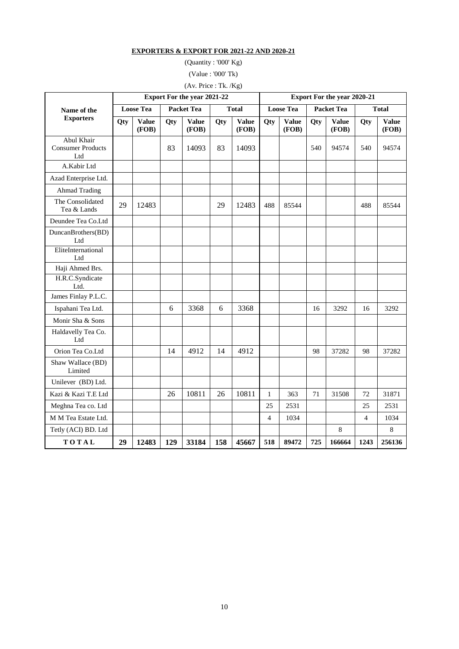#### **EXPORTERS & EXPORT FOR 2021-22 AND 2020-21**

(Quantity : '000' Kg) (Value : '000' Tk)

(Av. Price : Tk. /Kg)

|                                               |                  |                       |                   | Export For the year 2021-22 |     |                       | Export For the year 2020-21 |                       |     |                       |                |                       |  |
|-----------------------------------------------|------------------|-----------------------|-------------------|-----------------------------|-----|-----------------------|-----------------------------|-----------------------|-----|-----------------------|----------------|-----------------------|--|
| Name of the                                   | <b>Loose Tea</b> |                       | <b>Packet Tea</b> |                             |     | <b>Total</b>          |                             | <b>Loose Tea</b>      |     | <b>Packet Tea</b>     | <b>Total</b>   |                       |  |
| <b>Exporters</b>                              | Qty              | <b>Value</b><br>(FOB) | Qty               | <b>Value</b><br>(FOB)       | Qty | <b>Value</b><br>(FOB) | Qty                         | <b>Value</b><br>(FOB) | Qty | <b>Value</b><br>(FOB) | Qty            | <b>Value</b><br>(FOB) |  |
| Abul Khair<br><b>Consumer Products</b><br>Ltd |                  |                       | 83                | 14093                       | 83  | 14093                 |                             |                       | 540 | 94574                 | 540            | 94574                 |  |
| A.Kabir Ltd                                   |                  |                       |                   |                             |     |                       |                             |                       |     |                       |                |                       |  |
| Azad Enterprise Ltd.                          |                  |                       |                   |                             |     |                       |                             |                       |     |                       |                |                       |  |
| <b>Ahmad Trading</b>                          |                  |                       |                   |                             |     |                       |                             |                       |     |                       |                |                       |  |
| The Consolidated<br>Tea & Lands               | 29               | 12483                 |                   |                             | 29  | 12483                 | 488                         | 85544                 |     |                       | 488            | 85544                 |  |
| Deundee Tea Co.Ltd                            |                  |                       |                   |                             |     |                       |                             |                       |     |                       |                |                       |  |
| DuncanBrothers(BD)<br>Ltd                     |                  |                       |                   |                             |     |                       |                             |                       |     |                       |                |                       |  |
| EliteInternational<br>Ltd                     |                  |                       |                   |                             |     |                       |                             |                       |     |                       |                |                       |  |
| Haji Ahmed Brs.                               |                  |                       |                   |                             |     |                       |                             |                       |     |                       |                |                       |  |
| H.R.C.Syndicate<br>Ltd.                       |                  |                       |                   |                             |     |                       |                             |                       |     |                       |                |                       |  |
| James Finlay P.L.C.                           |                  |                       |                   |                             |     |                       |                             |                       |     |                       |                |                       |  |
| Ispahani Tea Ltd.                             |                  |                       | 6                 | 3368                        | 6   | 3368                  |                             |                       | 16  | 3292                  | 16             | 3292                  |  |
| Monir Sha & Sons                              |                  |                       |                   |                             |     |                       |                             |                       |     |                       |                |                       |  |
| Haldavelly Tea Co.<br>Ltd                     |                  |                       |                   |                             |     |                       |                             |                       |     |                       |                |                       |  |
| Orion Tea Co.Ltd                              |                  |                       | 14                | 4912                        | 14  | 4912                  |                             |                       | 98  | 37282                 | 98             | 37282                 |  |
| Shaw Wallace (BD)<br>Limited                  |                  |                       |                   |                             |     |                       |                             |                       |     |                       |                |                       |  |
| Unilever (BD) Ltd.                            |                  |                       |                   |                             |     |                       |                             |                       |     |                       |                |                       |  |
| Kazi & Kazi T.E Ltd                           |                  |                       | 26                | 10811                       | 26  | 10811                 | $\mathbf{1}$                | 363                   | 71  | 31508                 | 72             | 31871                 |  |
| Meghna Tea co. Ltd                            |                  |                       |                   |                             |     |                       | 25                          | 2531                  |     |                       | 25             | 2531                  |  |
| M M Tea Estate Ltd.                           |                  |                       |                   |                             |     |                       | $\overline{4}$              | 1034                  |     |                       | $\overline{4}$ | 1034                  |  |
| Tetly (ACI) BD. Ltd                           |                  |                       |                   |                             |     |                       |                             |                       |     | $\,8\,$               |                | 8                     |  |
| TOTAL                                         | 29               | 12483                 | 129               | 33184                       | 158 | 45667                 | 518                         | 89472                 | 725 | 166664                | 1243           | 256136                |  |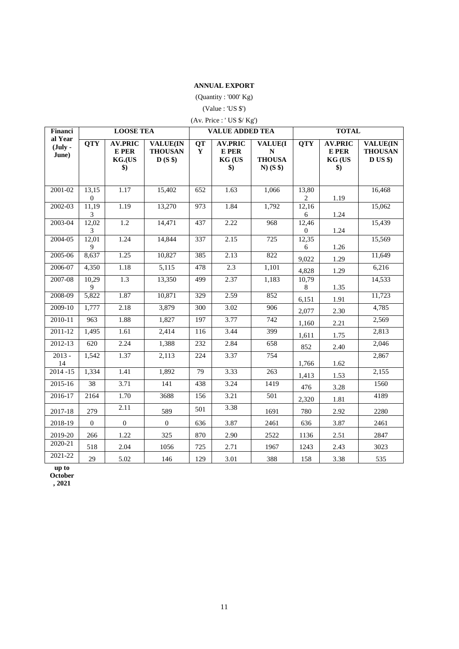#### **ANNUAL EXPORT**

(Quantity : '000' Kg)

(Value : 'US \$')

| (Av. Price : 'US \$/ Kg')              |                         |                                                         |                                             |                          |                                                         |                                                             |                           |                                                                |                                              |  |  |  |
|----------------------------------------|-------------------------|---------------------------------------------------------|---------------------------------------------|--------------------------|---------------------------------------------------------|-------------------------------------------------------------|---------------------------|----------------------------------------------------------------|----------------------------------------------|--|--|--|
| Financi                                |                         | <b>LOOSE TEA</b>                                        |                                             |                          | <b>VALUE ADDED TEA</b>                                  |                                                             |                           | <b>TOTAL</b>                                                   |                                              |  |  |  |
| al Year<br>$(\mathbf{July} -$<br>June) | <b>QTY</b>              | <b>AV.PRIC</b><br>E PER<br>KG.(US<br>$\boldsymbol{\$})$ | <b>VALUE(IN</b><br><b>THOUSAN</b><br>D(S\$) | <b>QT</b><br>$\mathbf Y$ | <b>AV.PRIC</b><br>E PER<br>KG (US<br>$\boldsymbol{\$})$ | <b>VALUE(I</b><br>${\bf N}$<br><b>THOUSA</b><br>$N)$ (S \$) | <b>QTY</b>                | <b>AV.PRIC</b><br>E PER<br><b>KG (US</b><br>$\boldsymbol{\$})$ | <b>VALUE(IN</b><br><b>THOUSAN</b><br>D US \$ |  |  |  |
| 2001-02                                | 13,15<br>$\overline{0}$ | 1.17                                                    | 15,402                                      | 652                      | 1.63                                                    | 1,066                                                       | 13,80<br>$\overline{2}$   | 1.19                                                           | 16,468                                       |  |  |  |
| 2002-03                                | 11,19<br>3              | 1.19                                                    | 13,270                                      | 973                      | 1.84                                                    | 1,792                                                       | 12,16<br>6                | 1.24                                                           | 15,062                                       |  |  |  |
| 2003-04                                | 12,02<br>3              | $\overline{1.2}$                                        | 14,471                                      | 437                      | 2.22                                                    | 968                                                         | 12,46<br>$\boldsymbol{0}$ | 1.24                                                           | 15,439                                       |  |  |  |
| 2004-05                                | 12,01<br>9              | 1.24                                                    | 14,844                                      | 337                      | 2.15                                                    | 725                                                         | 12,35<br>6                | 1.26                                                           | 15,569                                       |  |  |  |
| 2005-06                                | 8,637                   | 1.25                                                    | 10,827                                      | 385                      | 2.13                                                    | 822                                                         | 9,022                     | 1.29                                                           | 11,649                                       |  |  |  |
| 2006-07                                | 4,350                   | 1.18                                                    | 5,115                                       | 478                      | 2.3                                                     | 1,101                                                       | 4,828                     | 1.29                                                           | 6,216                                        |  |  |  |
| 2007-08                                | 10,29<br>9              | $\overline{1.3}$                                        | 13,350                                      | 499                      | 2.37                                                    | 1,183                                                       | 10,79<br>8                | 1.35                                                           | 14,533                                       |  |  |  |
| 2008-09                                | 5,822                   | 1.87                                                    | 10,871                                      | 329                      | 2.59                                                    | 852                                                         | 6,151                     | 1.91                                                           | 11,723                                       |  |  |  |
| 2009-10                                | 1,777                   | 2.18                                                    | 3,879                                       | 300                      | 3.02                                                    | 906                                                         | 2,077                     | 2.30                                                           | 4,785                                        |  |  |  |
| 2010-11                                | 963                     | 1.88                                                    | 1,827                                       | 197                      | 3.77                                                    | 742                                                         | 1,160                     | 2.21                                                           | 2,569                                        |  |  |  |
| 2011-12                                | 1,495                   | 1.61                                                    | 2,414                                       | 116                      | 3.44                                                    | 399                                                         | 1,611                     | 1.75                                                           | 2,813                                        |  |  |  |
| 2012-13                                | 620                     | 2.24                                                    | 1,388                                       | 232                      | 2.84                                                    | 658                                                         | 852                       | 2.40                                                           | 2,046                                        |  |  |  |
| $2013 -$<br>14                         | 1,542                   | 1.37                                                    | 2,113                                       | 224                      | 3.37                                                    | 754                                                         | 1,766                     | 1.62                                                           | 2,867                                        |  |  |  |
| $2014 - 15$                            | 1,334                   | 1.41                                                    | 1,892                                       | 79                       | 3.33                                                    | 263                                                         | 1,413                     | 1.53                                                           | 2,155                                        |  |  |  |
| 2015-16                                | 38                      | 3.71                                                    | $\overline{141}$                            | 438                      | 3.24                                                    | 1419                                                        | 476                       | 3.28                                                           | 1560                                         |  |  |  |
| 2016-17                                | 2164                    | 1.70                                                    | 3688                                        | 156                      | 3.21                                                    | 501                                                         | 2,320                     | 1.81                                                           | 4189                                         |  |  |  |
| 2017-18                                | 279                     | 2.11                                                    | 589                                         | 501                      | 3.38                                                    | 1691                                                        | 780                       | 2.92                                                           | 2280                                         |  |  |  |
| 2018-19                                | $\boldsymbol{0}$        | $\overline{0}$                                          | $\mathbf{0}$                                | 636                      | 3.87                                                    | 2461                                                        | 636                       | 3.87                                                           | 2461                                         |  |  |  |
| 2019-20                                | 266                     | 1.22                                                    | 325                                         | 870                      | 2.90                                                    | 2522                                                        | 1136                      | 2.51                                                           | 2847                                         |  |  |  |
| 2020-21                                | 518                     | 2.04                                                    | 1056                                        | 725                      | 2.71                                                    | 1967                                                        | 1243                      | 2.43                                                           | 3023                                         |  |  |  |
| 2021-22                                | 29                      | 5.02                                                    | 146                                         | 129                      | 3.01                                                    | 388                                                         | 158                       | 3.38                                                           | 535                                          |  |  |  |

**up to** 

**October**

**, 2021**